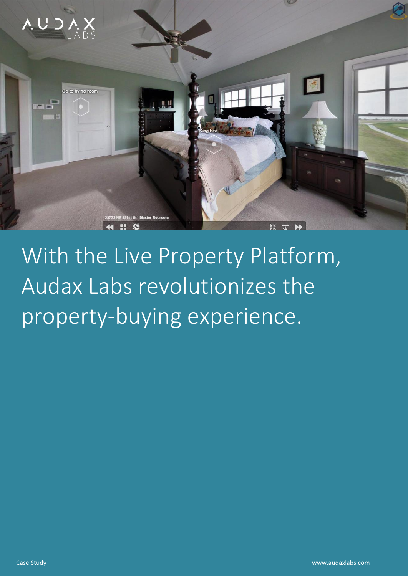

# With the Live Property Platform, Audax Labs revolutionizes the property-buying experience.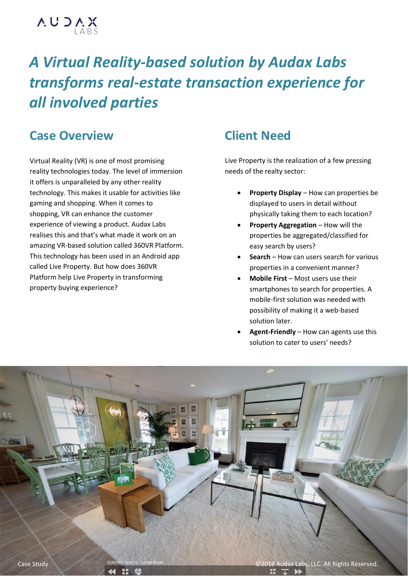

## *A Virtual Reality-based solution by Audax Labs transforms real-estate transaction experience for all involved parties*

## **Case Overview**

Virtual Reality (VR) is one of most promising reality technologies today. The level of immersion it offers is unparalleled by any other reality technology. This makes it usable for activities like gaming and shopping. When it comes to shopping, VR can enhance the customer experience of viewing a product. Audax Labs realises this and that's what made it work on an amazing VR-based solution called 360VR Platform. This technology has been used in an Android app called Live Property. But how does 360VR Platform help Live Property in transforming property buying experience?

## **Client Need**

Live Property is the realization of a few pressing needs of the realty sector:

- **Property Display**  How can properties be displayed to users in detail without physically taking them to each location?
- **Property Aggregation** How will the properties be aggregated/classified for easy search by users?
- **Search** How can users search for various properties in a convenient manner?
- **Mobile First** Most users use their smartphones to search for properties. A mobile-first solution was needed with possibility of making it a web-based solution later.
- **Agent-Friendly** How can agents use this solution to cater to users' needs?